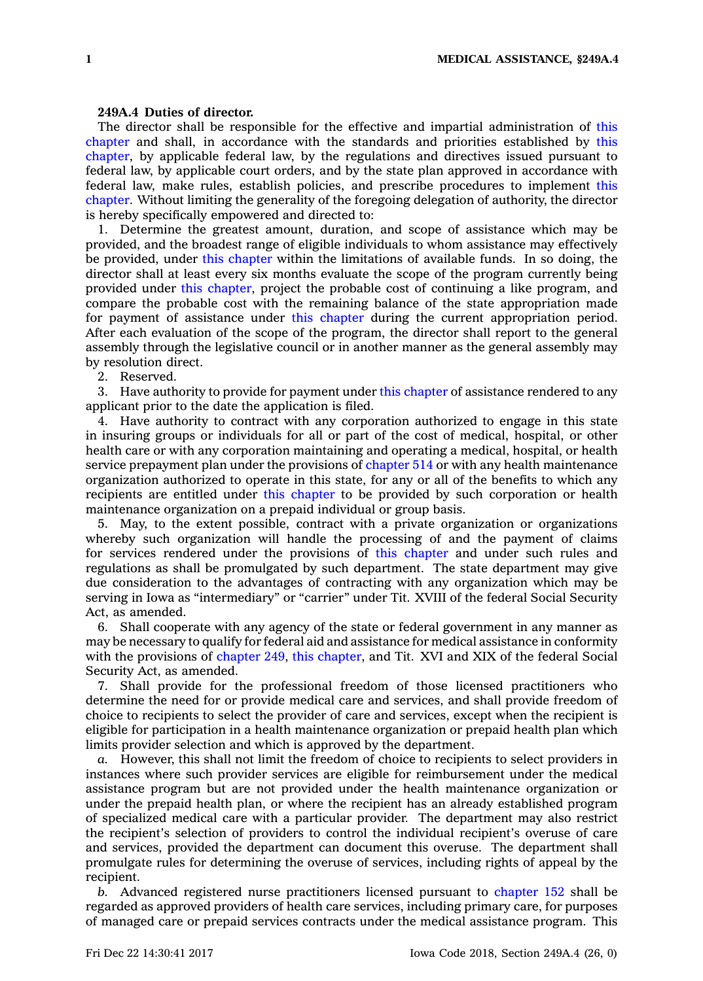## **249A.4 Duties of director.**

The director shall be responsible for the effective and impartial administration of [this](https://www.legis.iowa.gov/docs/code//249A.pdf) [chapter](https://www.legis.iowa.gov/docs/code//249A.pdf) and shall, in accordance with the standards and priorities established by [this](https://www.legis.iowa.gov/docs/code//249A.pdf) [chapter](https://www.legis.iowa.gov/docs/code//249A.pdf), by applicable federal law, by the regulations and directives issued pursuant to federal law, by applicable court orders, and by the state plan approved in accordance with federal law, make rules, establish policies, and prescribe procedures to implement [this](https://www.legis.iowa.gov/docs/code//249A.pdf) [chapter](https://www.legis.iowa.gov/docs/code//249A.pdf). Without limiting the generality of the foregoing delegation of authority, the director is hereby specifically empowered and directed to:

1. Determine the greatest amount, duration, and scope of assistance which may be provided, and the broadest range of eligible individuals to whom assistance may effectively be provided, under this [chapter](https://www.legis.iowa.gov/docs/code//249A.pdf) within the limitations of available funds. In so doing, the director shall at least every six months evaluate the scope of the program currently being provided under this [chapter](https://www.legis.iowa.gov/docs/code//249A.pdf), project the probable cost of continuing <sup>a</sup> like program, and compare the probable cost with the remaining balance of the state appropriation made for payment of assistance under this [chapter](https://www.legis.iowa.gov/docs/code//249A.pdf) during the current appropriation period. After each evaluation of the scope of the program, the director shall report to the general assembly through the legislative council or in another manner as the general assembly may by resolution direct.

2. Reserved.

3. Have authority to provide for payment under this [chapter](https://www.legis.iowa.gov/docs/code//249A.pdf) of assistance rendered to any applicant prior to the date the application is filed.

4. Have authority to contract with any corporation authorized to engage in this state in insuring groups or individuals for all or part of the cost of medical, hospital, or other health care or with any corporation maintaining and operating <sup>a</sup> medical, hospital, or health service prepayment plan under the provisions of [chapter](https://www.legis.iowa.gov/docs/code//514.pdf) 514 or with any health maintenance organization authorized to operate in this state, for any or all of the benefits to which any recipients are entitled under this [chapter](https://www.legis.iowa.gov/docs/code//249A.pdf) to be provided by such corporation or health maintenance organization on <sup>a</sup> prepaid individual or group basis.

5. May, to the extent possible, contract with <sup>a</sup> private organization or organizations whereby such organization will handle the processing of and the payment of claims for services rendered under the provisions of this [chapter](https://www.legis.iowa.gov/docs/code//249A.pdf) and under such rules and regulations as shall be promulgated by such department. The state department may give due consideration to the advantages of contracting with any organization which may be serving in Iowa as "intermediary" or "carrier" under Tit. XVIII of the federal Social Security Act, as amended.

6. Shall cooperate with any agency of the state or federal government in any manner as may be necessary to qualify for federal aid and assistance for medical assistance in conformity with the provisions of [chapter](https://www.legis.iowa.gov/docs/code//249.pdf) 249, this [chapter](https://www.legis.iowa.gov/docs/code//249A.pdf), and Tit. XVI and XIX of the federal Social Security Act, as amended.

7. Shall provide for the professional freedom of those licensed practitioners who determine the need for or provide medical care and services, and shall provide freedom of choice to recipients to select the provider of care and services, except when the recipient is eligible for participation in <sup>a</sup> health maintenance organization or prepaid health plan which limits provider selection and which is approved by the department.

*a.* However, this shall not limit the freedom of choice to recipients to select providers in instances where such provider services are eligible for reimbursement under the medical assistance program but are not provided under the health maintenance organization or under the prepaid health plan, or where the recipient has an already established program of specialized medical care with <sup>a</sup> particular provider. The department may also restrict the recipient's selection of providers to control the individual recipient's overuse of care and services, provided the department can document this overuse. The department shall promulgate rules for determining the overuse of services, including rights of appeal by the recipient.

*b.* Advanced registered nurse practitioners licensed pursuant to [chapter](https://www.legis.iowa.gov/docs/code//152.pdf) 152 shall be regarded as approved providers of health care services, including primary care, for purposes of managed care or prepaid services contracts under the medical assistance program. This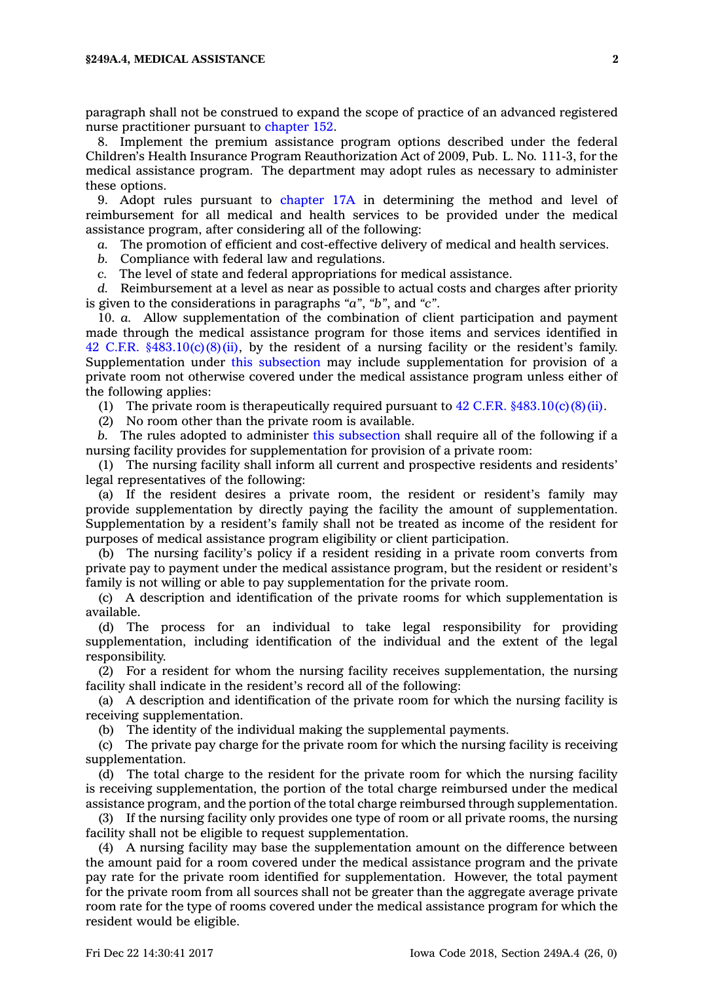paragraph shall not be construed to expand the scope of practice of an advanced registered nurse practitioner pursuant to [chapter](https://www.legis.iowa.gov/docs/code//152.pdf) 152.

8. Implement the premium assistance program options described under the federal Children's Health Insurance Program Reauthorization Act of 2009, Pub. L. No. 111-3, for the medical assistance program. The department may adopt rules as necessary to administer these options.

9. Adopt rules pursuant to [chapter](https://www.legis.iowa.gov/docs/code//17A.pdf) 17A in determining the method and level of reimbursement for all medical and health services to be provided under the medical assistance program, after considering all of the following:

*a.* The promotion of efficient and cost-effective delivery of medical and health services.

*b.* Compliance with federal law and regulations.

*c.* The level of state and federal appropriations for medical assistance.

*d.* Reimbursement at <sup>a</sup> level as near as possible to actual costs and charges after priority is given to the considerations in paragraphs *"a"*, *"b"*, and *"c"*.

10. *a.* Allow supplementation of the combination of client participation and payment made through the medical assistance program for those items and services identified in 42 C.F.R.  $$483.10(c)(8)(ii)$ , by the resident of a nursing facility or the resident's family. Supplementation under this [subsection](https://www.legis.iowa.gov/docs/code/249A.4.pdf) may include supplementation for provision of <sup>a</sup> private room not otherwise covered under the medical assistance program unless either of the following applies:

(1) The private room is therapeutically required pursuant to  $42$  C.F.R.  $§483.10(c)(8)(ii)$ .

(2) No room other than the private room is available.

*b.* The rules adopted to administer this [subsection](https://www.legis.iowa.gov/docs/code/249A.4.pdf) shall require all of the following if <sup>a</sup> nursing facility provides for supplementation for provision of <sup>a</sup> private room:

(1) The nursing facility shall inform all current and prospective residents and residents' legal representatives of the following:

(a) If the resident desires <sup>a</sup> private room, the resident or resident's family may provide supplementation by directly paying the facility the amount of supplementation. Supplementation by <sup>a</sup> resident's family shall not be treated as income of the resident for purposes of medical assistance program eligibility or client participation.

(b) The nursing facility's policy if <sup>a</sup> resident residing in <sup>a</sup> private room converts from private pay to payment under the medical assistance program, but the resident or resident's family is not willing or able to pay supplementation for the private room.

(c) A description and identification of the private rooms for which supplementation is available.

(d) The process for an individual to take legal responsibility for providing supplementation, including identification of the individual and the extent of the legal responsibility.

(2) For <sup>a</sup> resident for whom the nursing facility receives supplementation, the nursing facility shall indicate in the resident's record all of the following:

(a) A description and identification of the private room for which the nursing facility is receiving supplementation.

(b) The identity of the individual making the supplemental payments.

(c) The private pay charge for the private room for which the nursing facility is receiving supplementation.

(d) The total charge to the resident for the private room for which the nursing facility is receiving supplementation, the portion of the total charge reimbursed under the medical assistance program, and the portion of the total charge reimbursed through supplementation.

(3) If the nursing facility only provides one type of room or all private rooms, the nursing facility shall not be eligible to request supplementation.

(4) A nursing facility may base the supplementation amount on the difference between the amount paid for <sup>a</sup> room covered under the medical assistance program and the private pay rate for the private room identified for supplementation. However, the total payment for the private room from all sources shall not be greater than the aggregate average private room rate for the type of rooms covered under the medical assistance program for which the resident would be eligible.